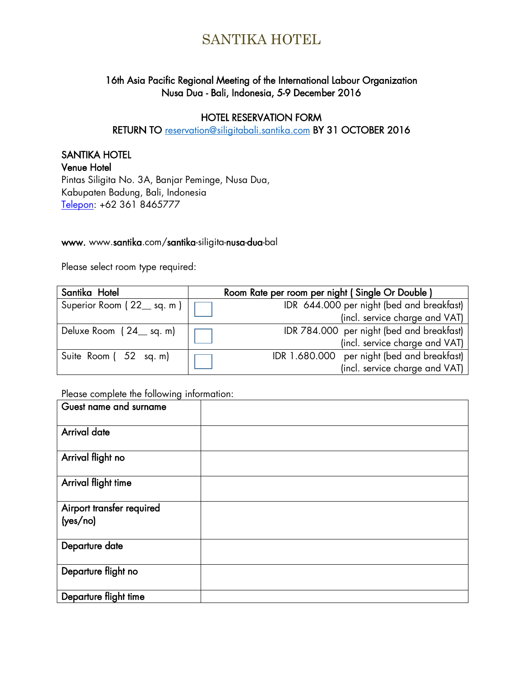## 16th Asia Pacific Regional Meeting of the International Labour Organization Nusa Dua - Bali, Indonesia, 5-9 December 2016

## HOTEL RESERVATION FORM

RETURN TO [reservation@siligitabali.santika.com](mailto:reservation@siligitabali.santika.com) BY 31 OCTOBER 2016

## SANTIKA HOTEL

Venue Hotel Pintas Siligita No. 3A, Banjar Peminge, Nusa Dua, Kabupaten Badung, Bali, Indonesia [Telepon:](https://www.google.com/search?client=firefox-b&q=santika+siligita+telepon&stick=H4sIAAAAAAAAAOPgE-LRT9c3NKywLDMsqCzX0s9OttJPzs_JSU0uyczP08_Oyy_PSU1JT40vSMxLzSnWz0gsji_IyM9LtQKTALtc8m5BAAAA&sa=X&ved=0ahUKEwioxqrR8PHNAhWKL48KHcjPD-MQ6BMIzwEwFA) +62 361 8465777

### www. www.santika.com/santika-siligita-nusa-dua-bal

Please select room type required:

| Santika Hotel                      | Room Rate per room per night (Single Or Double) |
|------------------------------------|-------------------------------------------------|
| Superior Room ( $22$ sq. m) $\Box$ | IDR 644.000 per night (bed and breakfast)       |
|                                    | (incl. service charge and VAT)                  |
| Deluxe Room (24_sq.m)              | IDR 784.000 per night (bed and breakfast)       |
|                                    | (incl. service charge and VAT)                  |
| Suite Room (52 sq. m)              | IDR 1.680.000 per night (bed and breakfast)     |
|                                    | (incl. service charge and VAT)                  |

### Please complete the following information:

| Guest name and surname                |  |
|---------------------------------------|--|
| <b>Arrival date</b>                   |  |
| Arrival flight no                     |  |
| Arrival flight time                   |  |
| Airport transfer required<br>(yes/no) |  |
| Departure date                        |  |
| Departure flight no                   |  |
| Departure flight time                 |  |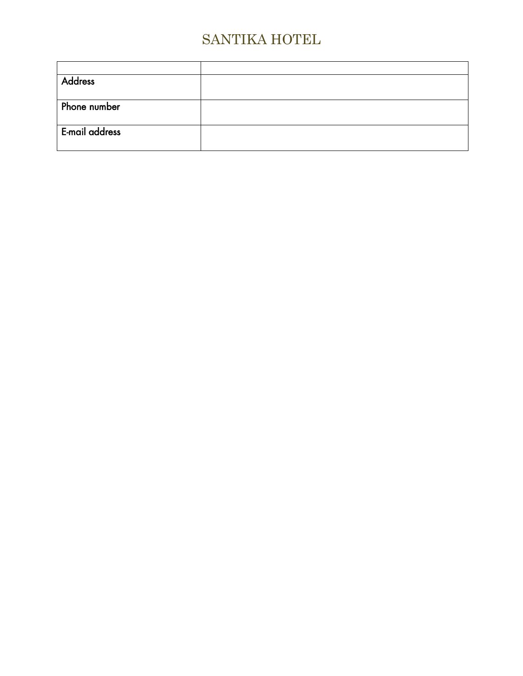| <b>Address</b> |  |
|----------------|--|
|                |  |
| Phone number   |  |
|                |  |
| E-mail address |  |
|                |  |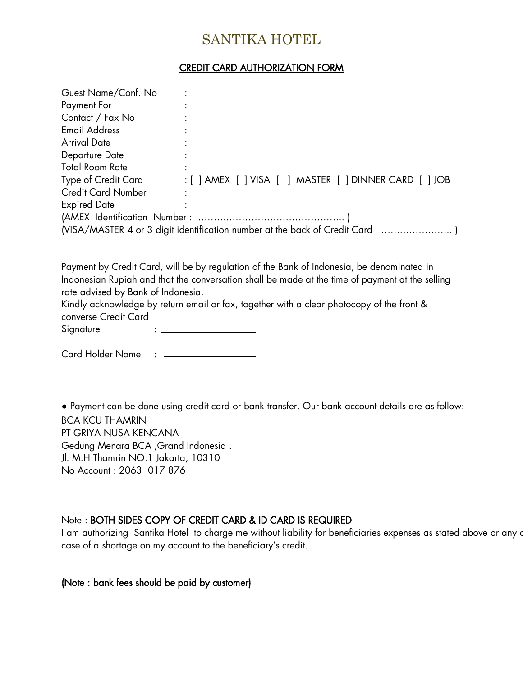## CREDIT CARD AUTHORIZATION FORM

| Guest Name/Conf. No                                                        |                                                        |  |  |  |
|----------------------------------------------------------------------------|--------------------------------------------------------|--|--|--|
| Payment For                                                                |                                                        |  |  |  |
| Contact / Fax No                                                           |                                                        |  |  |  |
| <b>Email Address</b>                                                       |                                                        |  |  |  |
| Arrival Date                                                               |                                                        |  |  |  |
| Departure Date                                                             |                                                        |  |  |  |
| <b>Total Room Rate</b>                                                     |                                                        |  |  |  |
| Type of Credit Card                                                        | : [ ] AMEX [ ] VISA [ ] MASTER [ ] DINNER CARD [ ] JOB |  |  |  |
| <b>Credit Card Number</b>                                                  |                                                        |  |  |  |
| <b>Expired Date</b>                                                        |                                                        |  |  |  |
|                                                                            |                                                        |  |  |  |
| (VISA/MASTER 4 or 3 digit identification number at the back of Credit Card |                                                        |  |  |  |

Payment by Credit Card, will be by regulation of the Bank of Indonesia, be denominated in Indonesian Rupiah and that the conversation shall be made at the time of payment at the selling rate advised by Bank of Indonesia.

Kindly acknowledge by return email or fax, together with a clear photocopy of the front & converse Credit Card

Signature : \_

Card Holder Name : \_\_\_\_\_\_\_\_\_\_\_\_\_\_

● Payment can be done using credit card or bank transfer. Our bank account details are as follow: BCA KCU THAMRIN PT GRIYA NUSA KENCANA Gedung Menara BCA ,Grand Indonesia . Jl. M.H Thamrin NO.1 Jakarta, 10310 No Account : 2063 017 876

### Note : BOTH SIDES COPY OF CREDIT CARD & ID CARD IS REQUIRED

I am authorizing Santika Hotel to charge me without liability for beneficiaries expenses as stated above or any c case of a shortage on my account to the beneficiary's credit.

### (Note : bank fees should be paid by customer)